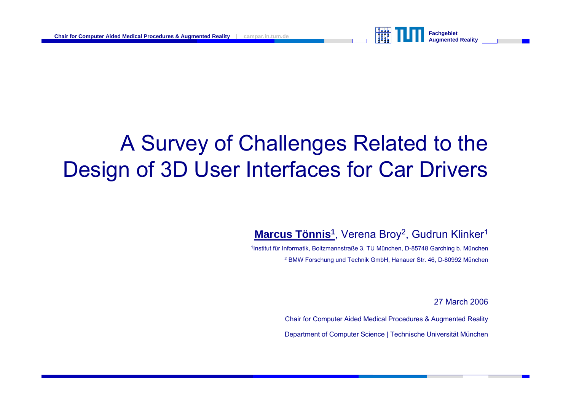

# A Survey of Challenges Related to the Design of 3D User Interfaces for Car Drivers

#### **Marcus Tönnis1**, Verena Broy 2, Gudrun Klinker1

<sup>1</sup>Institut für Informatik, Boltzmannstraße 3, TU München, D-85748 Garching b. München 2 BMW Forschung und Technik GmbH, Hanauer Str. 46, D-80992 München

27 March 2006

Chair for Computer Aided Medical Procedures & Augmented Reality Department of Computer Science | Technische Universität München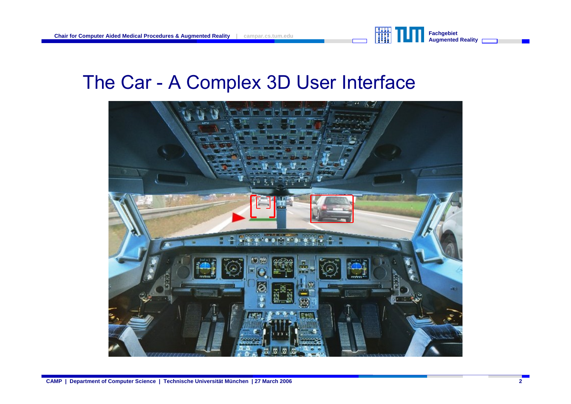

#### The Car - A Complex 3D User Interface

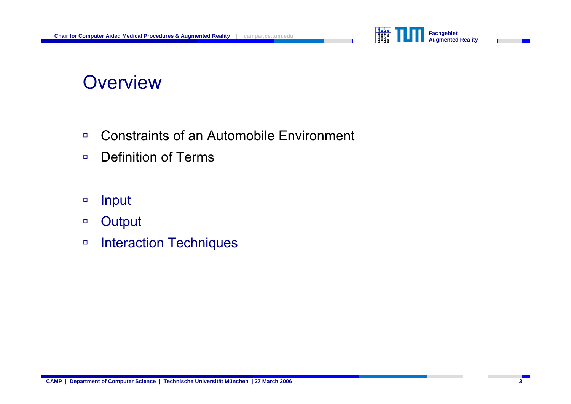

## **Overview**

- $\Box$ □ Constraints of an Automobile Environment
- $\Box$ □ Definition of Terms
- àInput
- à**Output**
- àInteraction Techniques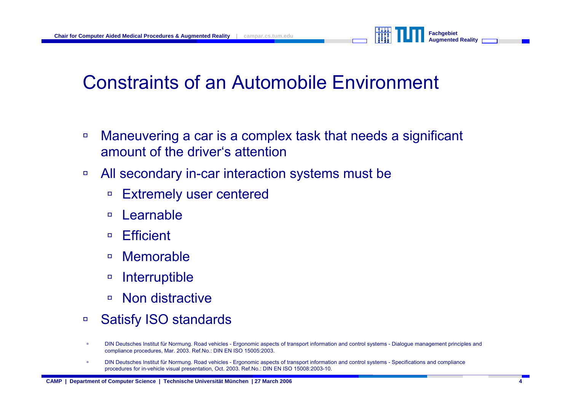

### Constraints of an Automobile Environment

- à Maneuvering a car is a complex task that needs a significant amount of the driver's attention
- $\Box$  All secondary in-car interaction systems must be
	- àExtremely user centered
	- $\Box$ Learnable
	- à**Efficient**
	- $\Box$ Memorable
	- à**Interruptible**
	- àNon distractive
- $\Box$ Satisfy ISO standards

à□ DIN Deutsches Institut für Normung. Road vehicles - Ergonomic aspects of transport information and control systems - Dialogue management principles and co mpliance procedures, Mar. 2003. Ref.No.: DI N EN ISO 15005:2003.

à□ DIN Deutsches Institut für Normung. Road vehicles - Ergonomic aspects of transport information and control systems - Specifications and compliance procedures for in-vehicle visual presentation, Oct. 2003. Ref.No.: DI N EN ISO 15008:2003-10.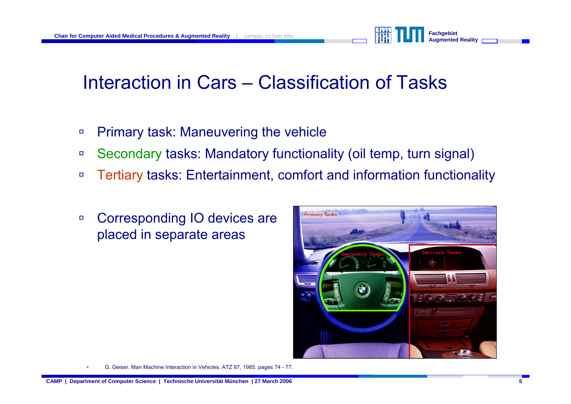

## Interaction in Cars – Classification of Tasks

- àPrimary task: Maneuvering the vehicle
- àSecondary tasks: Mandatory functionality (oil temp, turn signal)
- $\Box$ Tertiary tasks: Entertainment, comfort and information functionality
- à□ Corresponding IO devices are placed in separate areas



à□ G. Geiser. Man Machine Interaction in Vehicles. ATZ 87, 1985. pages 74 - 77.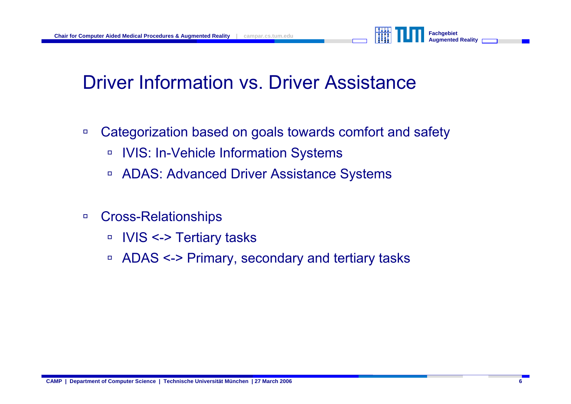

## Driver Information vs. Driver Assistance

- à Categorization based on goals towards comfort and safety
	- àIVIS: In-Vehicle Information Systems
	- $\Box$ ADAS: Advanced Driver Assistance Systems
- à Cross-Relationships
	- $\Box$ □ IVIS <-> Tertiary tasks
	- $\Box$ ADAS <-> Primary, secondary and tertiary tasks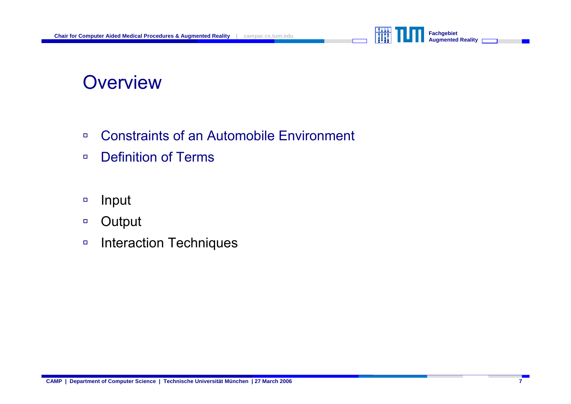

### **Overview**

- $\Box$ □ Constraints of an Automobile Environment
- $\Box$ □ Definition of Terms
- àInput
- à**Output**
- àInteraction Techniques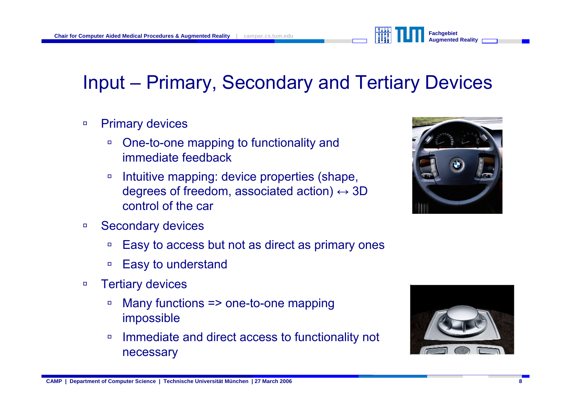

## Input – Primary, Secondary and Tertiary Devices

#### $\Box$ Primary devices

- à One-to-one mapping to functionality and immediate feedback
- $\Box$  Intuitive mapping: device properties (shape, degrees of freedom, associated action)  $\leftrightarrow$  3D  $^+$ control of the car
- $\Box$  Secondary devices
	- àEasy to access but not as direct as primary ones
	- àEasy to understand
- $\Box$  Tertiary devices
	- à Many functions => one-to-one mapping impossible
	- à Immediate and direct access to functionality not necessary



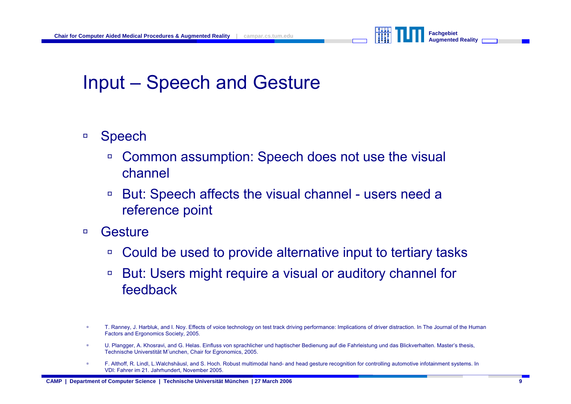

#### Input – Speech and Gesture

- à□ Speech
	- $\Box$  Common assumption: Speech does not use the visual channel
	- à□ But: Speech affects the visual channel - users need a reference point
- $\Box$ **Gesture** 
	- àCould be used to provide alternative input to tertiary tasks
	- à But: Users might require a visual or auditory channel for feedback
- à T. Ranney, J. Harbluk, and I. Noy. Effects of voice technology on test track driving performance: Implications of driver distraction. In The Journal of the Human Factors and Ergono mics Society, 2005.
- à U. Plangger, A. Khosravi, and G. Helas. Einfluss von sprachlicher und haptischer Bedienung auf die Fahrleistung und das Blickverhalten. Master's thesis, Technische Universtität M¨unchen, Chair for Egrono mics, 2005.
- à□ F. Althoff, R. Lindl, L.Walchshäusl, and S. Hoch. Robust multimodal hand- and head gesture recognition for controlling automotive infotainment systems. In V DI: Fahrer im 21. Jahrhundert, Nove mber 2005.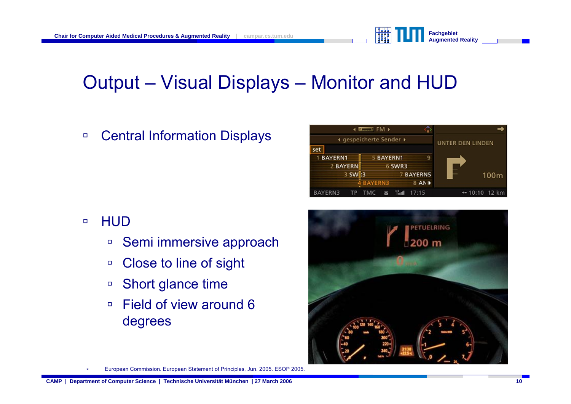

### Output – Visual Displays – Monitor and HUD

#### àCentral Information Displays

#### à**HUD**

- àSemi immersive approach
- àClose to line of sight
- àShort glance time
- $\Box$  Field of view around 6 degrees





à□ European Commission. European Statement of Principles, Jun. 2005. ESOP 2005.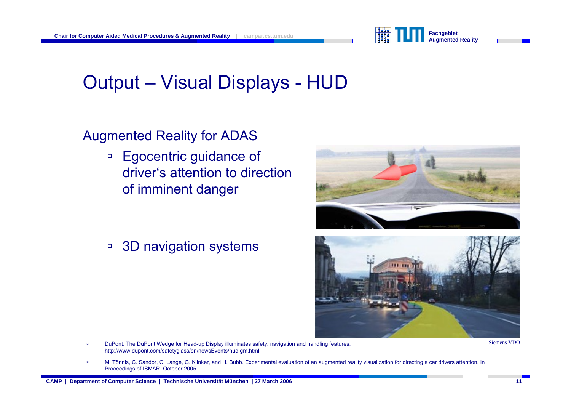

#### Output – Visual Displays - HUD

#### Augmented Reality for ADAS

à□ Egocentric guidance of driver's attention to direction of imminent danger

à3D navigation systems





à□ DuPont. The DuPont Wedge for Head-up Display illuminates safety, navigation and handling features. Simmon Stemens VDO http://www.dupont.com/safetyglass/en/newsEvents/hud gm.html.

à□ M. Tönnis, C. Sandor, C. Lange, G. Klinker, and H. Bubb. Experimental evaluation of an augmented reality visualization for directing a car drivers attention. In Proceedings of IS MAR, October 2005.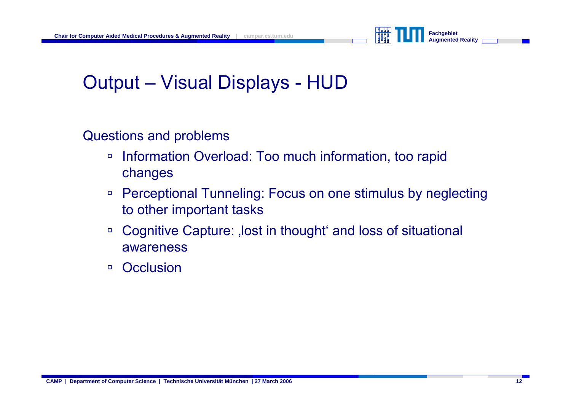

## Output – Visual Displays - HUD

#### Questions and problems

- $\Box$  Information Overload: Too much information, too rapid changes
- $\Box$  Perceptional Tunneling: Focus on one stimulus by neglecting to other important tasks
- àCognitive Capture: , lost in thought' and loss of situational awareness
- $\Box$ **Occlusion**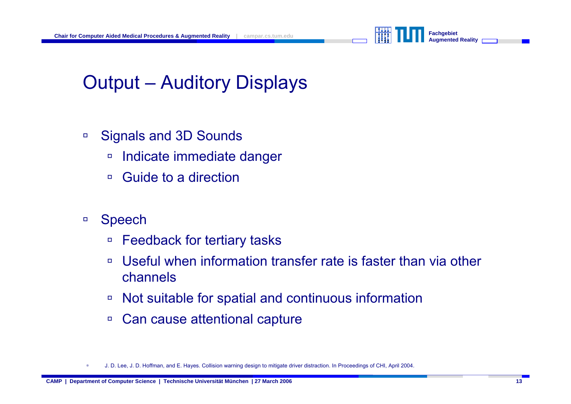

## Output – Auditory Displays

- à Signals and 3D Sounds
	- àIndicate immediate danger
	- àGuide to a direction
- à Speech
	- àFeedback for tertiary tasks
	- $\Box$  Useful when information transfer rate is faster than via other channels
	- àNot suitable for spatial and continuous information
	- àCan cause attentional capture

à□ J. D. Lee, J. D. Hoffman, and E. Hayes. Collision warning design to mitigate driver distraction. In Proceedings of CHI, April 2004.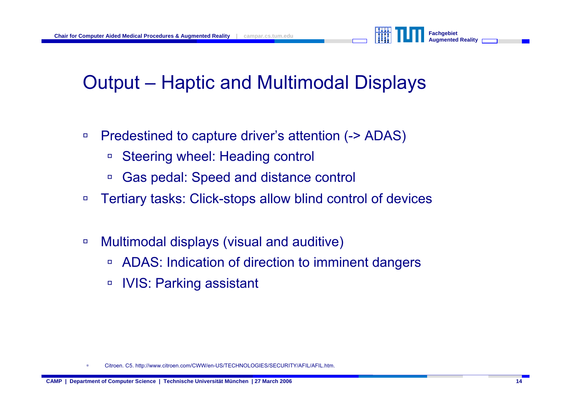

### Output – Haptic and Multimodal Displays

- à Predestined to capture driver's attention (-> ADAS)
	- àSteering wheel: Heading control
	- àGas pedal: Speed and distance control
- àTertiary tasks: Click-stops allow blind control of devices
- à Multimodal displays (visual and auditive)
	- $\Box$ ADAS: Indication of direction to imminent dangers
	- àIVIS: Parking assistant

àCitroen. C5. http://www.citroen.com/CWW/en-US/TECHNOLOGIES/SECURITY/AFIL/AFIL.htm.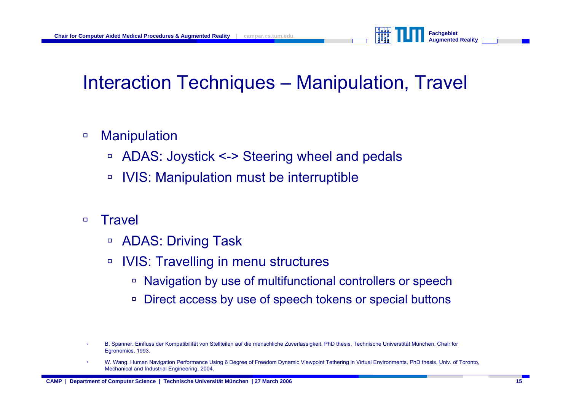

#### Interaction Techniques – Manipulation, Travel

- à**Manipulation** 
	- àADAS: Joystick <-> Steering wheel and pedals
	- àIVIS: Manipulation must be interruptible
- $\Box$ **Travel** 
	- àADAS: Driving Task
	- $\Box$  IVIS: Travelling in menu structures
		- $\Box$ Navigation by use of multifunctional controllers or speech
		- àDirect access by use of speech tokens or special buttons

à B. Spanner. Einfluss der Kompatibilität von Stellteilen auf die menschliche Zuverlässigkeit. Ph D thesis, Technische Universtität München, Chair for Egrono mics, 1993.

à□ W. Wang. Human Navigation Performance Using 6 Degree of Freedom Dynamic Viewpoint Tethering in Virtual Environments. PhD thesis, Univ. of Toronto, Mechanical and Industrial Engineering, 2004.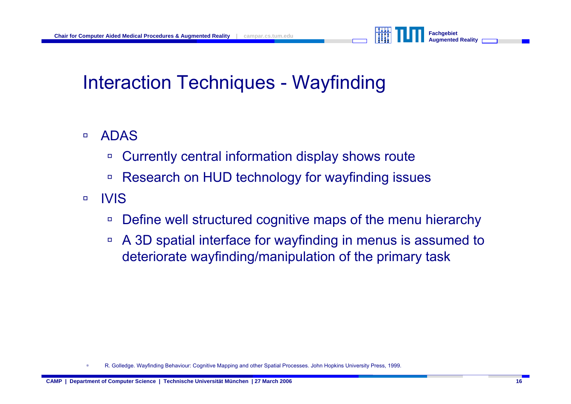

#### Interaction Techniques - Wayfinding

- $\Box$  ADAS
	- à□ Currently central information display shows route
	- àResearch on HUD technology for wayfinding issues
- $\Box$  IVIS
	- àDefine well structured cognitive maps of the menu hierarchy
	- à A 3D spatial interface for wayfinding in menus is assumed to deteriorate wayfinding/manipulation of the primary task

à□ R. Golledge. Wayfinding Behaviour: Cognitive Mapping and other Spatial Processes. John Hopkins University Press, 1999.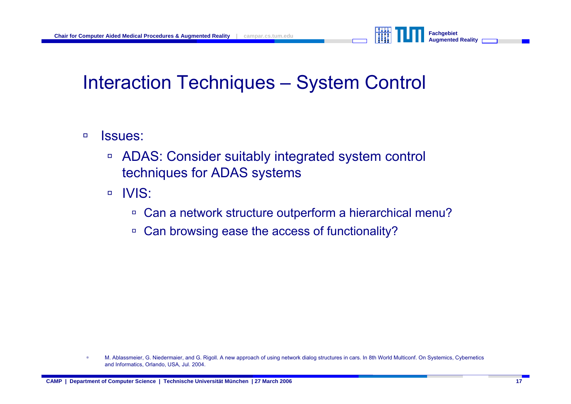

## Interaction Techniques – System Control

- à Issues:
	- à ADAS: Consider suitably integrated system control techniques for ADAS systems
	- $\Box$  IVIS:
		- □ Can a network structure outperform a hierarchical menu?
		- àCan browsing ease the access of functionality?

à□ M. Ablassmeier, G. Niedermaier, and G. Rigoll. A new approach of using network dialog structures in cars. In 8th World Multiconf. On Systemics, Cybernetics and Informatics, Orlando, USA, Jul. 2004.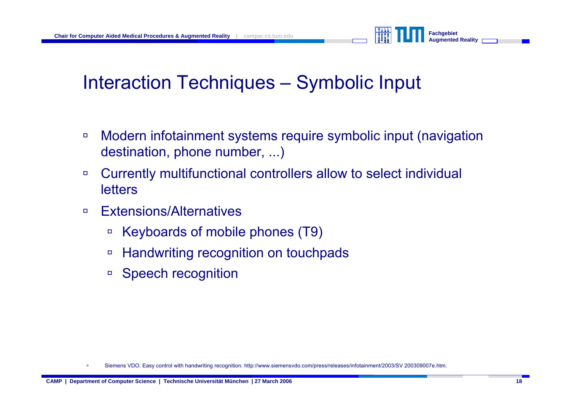

## Interaction Techniques – Symbolic Input

- à Modern infotainment systems require symbolic input (navigation destination, phone number, ...)
- à Currently multifunctional controllers allow to select individual letters
- $\Box$  Extensions/Alternatives
	- àKeyboards of mobile phones (T9)
	- àHandwriting recognition on touchpads
	- àSpeech recognition

à□ Siemens VDO. Easy control with handwriting recognition. http://www.siemensvdo.com/press/releases/infotainment/2003/SV 200309007e.htm.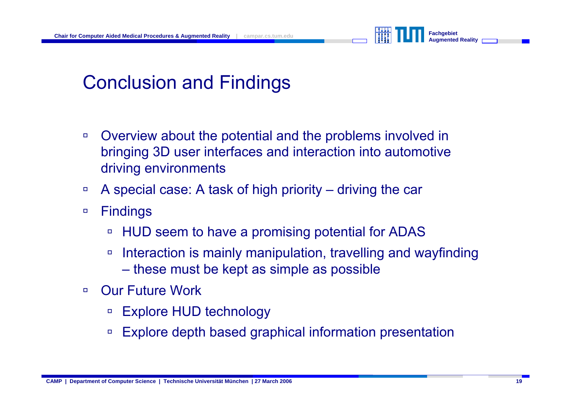

## Conclusion and Findings

- $\Box$  Overview about the potential and the problems involved in bringing 3D user interfaces and interaction into automotive driving environments
- à□ A special case: A task of high priority – driving the car
- $\Box$  Findings
	- àHUD seem to have a promising potential for ADAS
	- à Interaction is mainly manipulation, travelling and wayfinding – these must be kept as simple as possible
- à Our Future Work
	- àExplore HUD technology
	- à□ Explore depth based graphical information presentation